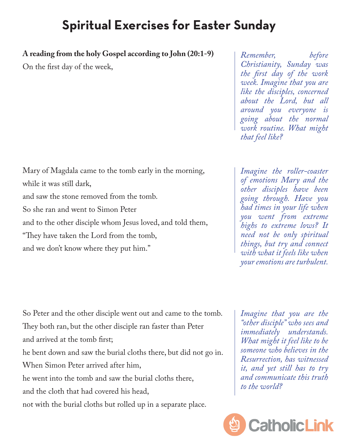## **Spiritual Exercises for Easter Sunday**

**A reading from the holy Gospel according to John (20:1-9)**

On the first day of the week,

Mary of Magdala came to the tomb early in the morning, while it was still dark, and saw the stone removed from the tomb. So she ran and went to Simon Peter and to the other disciple whom Jesus loved, and told them, "They have taken the Lord from the tomb, and we don't know where they put him."

*Remember, before Christianity, Sunday was the first day of the work week. Imagine that you are like the disciples, concerned about the Lord, but all around you everyone is going about the normal work routine. What might that feel like?*

*Imagine the roller-coaster of emotions Mary and the other disciples have been going through. Have you had times in your life when you went from extreme highs to extreme lows? It need not be only spiritual things, but try and connect with what it feels like when your emotions are turbulent.* 

So Peter and the other disciple went out and came to the tomb. They both ran, but the other disciple ran faster than Peter and arrived at the tomb first; he bent down and saw the burial cloths there, but did not go in. When Simon Peter arrived after him, he went into the tomb and saw the burial cloths there, and the cloth that had covered his head, not with the burial cloths but rolled up in a separate place.

*Imagine that you are the "other disciple" who sees and immediately understands. What might it feel like to be someone who believes in the Resurrection, has witnessed it, and yet still has to try and communicate this truth to the world?* 

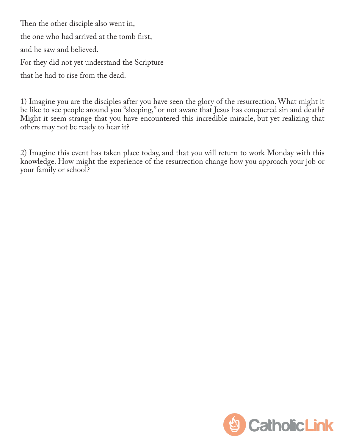Then the other disciple also went in, the one who had arrived at the tomb first, and he saw and believed. For they did not yet understand the Scripture that he had to rise from the dead.

1) Imagine you are the disciples after you have seen the glory of the resurrection. What might it be like to see people around you "sleeping," or not aware that Jesus has conquered sin and death? Might it seem strange that you have encountered this incredible miracle, but yet realizing that others may not be ready to hear it?

2) Imagine this event has taken place today, and that you will return to work Monday with this knowledge. How might the experience of the resurrection change how you approach your job or your family or school?